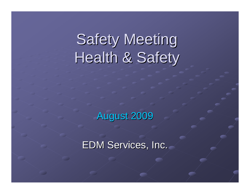# **Safety Meeting** Health & Safety

August 2009

EDM Services, Inc.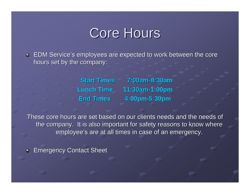### Core Hours

EDM Service's employees are expected to work between the core hours set by the company:

**Start Times 7:00am-8:30amLunch Time 11:30am-1:00pm End Times 4:00pm-5:30pm**

These core hours are set based on our clients needs and the needs of the company. It is also important for safety reasons to know where employee's are at all times in case of an emergency.

**Emergency Contact Sheet**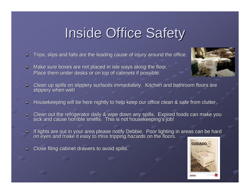# **Inside Office Safety**

- Trips, slips and falls are the leading cause of injury around the office.
- Make sure boxes are not placed in isle ways along the floor.  $\bullet$ Place them under desks or on top of cabinets if possible.
- Clean up spills on slippery surfaces immediately. Kitchen and bathroom floors are slippery when wet! ٥.
- Housekeeping will be here nightly to help keep our office clean & safe from clutter.  $\bullet$
- Clean out the refrigerator daily & wipe down any spills. Expired foods can make you<br>sick and cause horrible smells. This is not housekeeping's job!  $\bullet$
- If lights are out in your area please notify Debbie. Poor lighting in areas can be hard<br>on eyes and make it easy to miss tripping hazards on the floors.
- Close filing cabinet drawers to avoid spills.



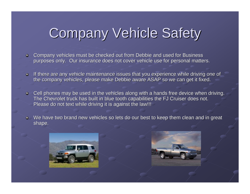# **Company Vehicle Safety**

- Company vehicles must be checked out from Debbie and used for Business purposes only. Our insurance does not cover vehicle use for personal matters.
- If there are any vehicle maintenance issues that you experience while driving one of  $\bullet$ the company vehicles, please make Debbie aware ASAP so we can get it fixed.
- Cell phones may be used in the vehicles along with a hands free device when driving.  $\bullet$ The Chevrolet truck has built in blue tooth capabilities the FJ Cruiser does not. Please do not text while driving it is against the law!!!
- $\bullet$  We have two brand new vehicles so lets do our best to keep them clean and in great shape.



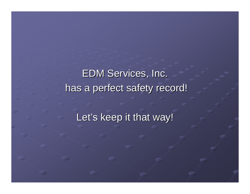**EDM Services, Inc.** has a perfect safety record!

Let's keep it that way!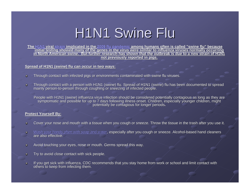# H1N1 Swine Flu

<u>The H1N1 viral strain implicated in the 2009 flu pandemic among humans often is called "swine flu" because </u> initial testing showed many of the genes in the virus were similar to influenza viruses normally occurring in North American swine. But further research has shown that the outbreak is due to a new strain of H1 **not previously reported in pigs. not previously reported in pigs.**

#### **<u>Spread of H1N1 (swine) flu can occur in two ways:</u>**

- Through contact with infected pigs or environments contaminated with swine flu viruses.  $\bullet$
- Through contact with a person with H1N1 (swine) flu. Spread of H1N1 (swine) flu has been documented to spread  $\bullet$ mainly person-to-person through coughing or sneezing of infected people.

People with H1N1 (swine) influenza virus infection should be considered potentially contagious as long as they are symptomatic and possible for up to 7 days following illness onset. Children, especially younger children, might<br>potentially be contagious for longer periods.

#### **Protect Yourself By: Protect Yourself By:**

- Cover your nose and mouth with a tissue when you cough or sneeze. Throw the tissue in the trash after you use it. Ō.
- Wash your hands often with soap and water, especially after you cough or sneeze. Alcohol-based hand cleaners<br>are also effective.  $\Omega$ .
- Avoid touching your eyes, nose or mouth. Germs spread this way. O.
- Try to avoid close contact with sick people. Ò.
- If you get sick with influenza, CDC recommends that you stay home from work or school and limit contact with others to keep from infecting them. ò.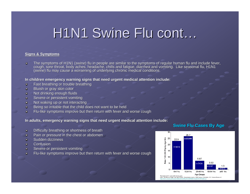### H1N1 Swine Flu cont...

#### **Signs & Symptoms**

 $\bullet$ The symptoms of H1N1 (swine) flu in people are similar to the symptoms of regular human flu and include fever,<br>cough, sore throat, body aches, headache, chills and fatigue, diarrhea and vomiting. Like seasonal flu, H1N1 (swine) flu may cause a worsening of underlying chronic medical conditions.

#### In children emergency warning signs that need urgent medical attention include:

- Fast breathing or trouble breathing  $\bullet$
- Bluish or gray skin color  $\bullet$
- Not drinking enough fluids  $\bullet$
- Severe or persistent vomiting  $\bullet$
- Not waking up or not interacting  $\bullet$
- Being so irritable that the child does not want to be held  $\bullet$
- Flu-like symptoms improve but then return with fever and worse cough  $\bullet$

In adults, emergency warning signs that need urgent medical attention include:

- Difficulty breathing or shortness of breath  $\bullet$
- Pain or pressure in the chest or abdomen ۵
- Sudden dizziness Ō.
- **Confusion** Ò.
- Severe or persistent vomiting Ō.
- Flu-like symptoms improve but then return with fever and worse coughŌ.

### **Swine Flu Cases By Age**

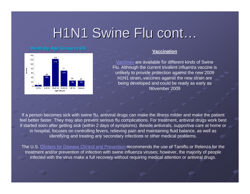### H1N1 Swine Flu cont...

### **Death by Age Group in US**



### **Vaccination**

Vaccines are available for different kinds of Swine Flu. Although the current trivalent influenza vaccine is unlikely to provide protection against the new 2009 H1N1 strain, vaccines against the new strain are being developed and could be ready as early as November 2009

If a person becomes sick with swine flu, antiviral drugs can make the illness milder and make the patient feel better faster. They may also prevent serious flu complications. For treatment, antiviral drugs work best if started soon after getting sick (within 2 days of symptoms). Beside antivirals, supportive care at home or in hospital, focuses on controlling fevers, relieving pain and maintaining fluid balance, as well as identifying and treating any secondary infections or other medical problems.

The U.S. Centers for Disease Control and Prevention recommends the use of Tamiflu or Relenza for the treatment and/or prevention of infection with swine influenza viruses; however, the majority of people infected with the virus make a full recovery without requiring medical attention or antiviral drugs.